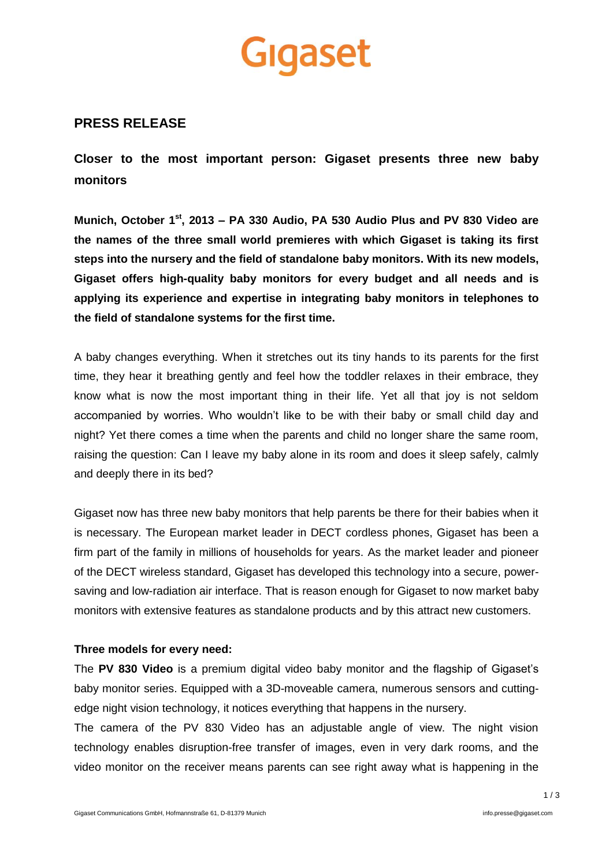# Gigaset

# **PRESS RELEASE**

**Closer to the most important person: Gigaset presents three new baby monitors**

**Munich, October 1st, 2013 – PA 330 Audio, PA 530 Audio Plus and PV 830 Video are the names of the three small world premieres with which Gigaset is taking its first steps into the nursery and the field of standalone baby monitors. With its new models, Gigaset offers high-quality baby monitors for every budget and all needs and is applying its experience and expertise in integrating baby monitors in telephones to the field of standalone systems for the first time.**

A baby changes everything. When it stretches out its tiny hands to its parents for the first time, they hear it breathing gently and feel how the toddler relaxes in their embrace, they know what is now the most important thing in their life. Yet all that joy is not seldom accompanied by worries. Who wouldn't like to be with their baby or small child day and night? Yet there comes a time when the parents and child no longer share the same room, raising the question: Can I leave my baby alone in its room and does it sleep safely, calmly and deeply there in its bed?

Gigaset now has three new baby monitors that help parents be there for their babies when it is necessary. The European market leader in DECT cordless phones, Gigaset has been a firm part of the family in millions of households for years. As the market leader and pioneer of the DECT wireless standard, Gigaset has developed this technology into a secure, powersaving and low-radiation air interface. That is reason enough for Gigaset to now market baby monitors with extensive features as standalone products and by this attract new customers.

## **Three models for every need:**

The **PV 830 Video** is a premium digital video baby monitor and the flagship of Gigaset's baby monitor series. Equipped with a 3D-moveable camera, numerous sensors and cuttingedge night vision technology, it notices everything that happens in the nursery.

The camera of the PV 830 Video has an adjustable angle of view. The night vision technology enables disruption-free transfer of images, even in very dark rooms, and the video monitor on the receiver means parents can see right away what is happening in the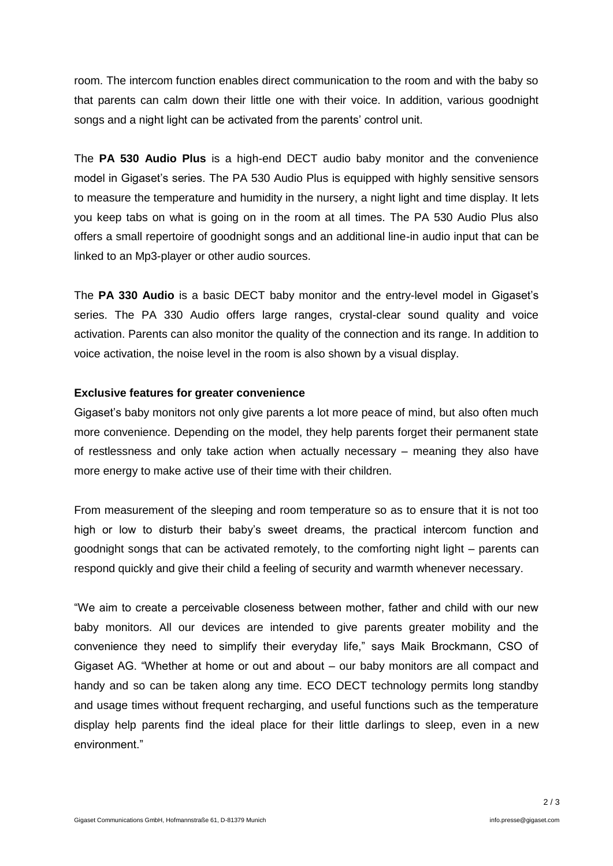room. The intercom function enables direct communication to the room and with the baby so that parents can calm down their little one with their voice. In addition, various goodnight songs and a night light can be activated from the parents' control unit.

The **PA 530 Audio Plus** is a high-end DECT audio baby monitor and the convenience model in Gigaset's series. The PA 530 Audio Plus is equipped with highly sensitive sensors to measure the temperature and humidity in the nursery, a night light and time display. It lets you keep tabs on what is going on in the room at all times. The PA 530 Audio Plus also offers a small repertoire of goodnight songs and an additional line-in audio input that can be linked to an Mp3-player or other audio sources.

The **PA 330 Audio** is a basic DECT baby monitor and the entry-level model in Gigaset's series. The PA 330 Audio offers large ranges, crystal-clear sound quality and voice activation. Parents can also monitor the quality of the connection and its range. In addition to voice activation, the noise level in the room is also shown by a visual display.

### **Exclusive features for greater convenience**

Gigaset's baby monitors not only give parents a lot more peace of mind, but also often much more convenience. Depending on the model, they help parents forget their permanent state of restlessness and only take action when actually necessary – meaning they also have more energy to make active use of their time with their children.

From measurement of the sleeping and room temperature so as to ensure that it is not too high or low to disturb their baby's sweet dreams, the practical intercom function and goodnight songs that can be activated remotely, to the comforting night light – parents can respond quickly and give their child a feeling of security and warmth whenever necessary.

"We aim to create a perceivable closeness between mother, father and child with our new baby monitors. All our devices are intended to give parents greater mobility and the convenience they need to simplify their everyday life," says Maik Brockmann, CSO of Gigaset AG. "Whether at home or out and about – our baby monitors are all compact and handy and so can be taken along any time. ECO DECT technology permits long standby and usage times without frequent recharging, and useful functions such as the temperature display help parents find the ideal place for their little darlings to sleep, even in a new environment."